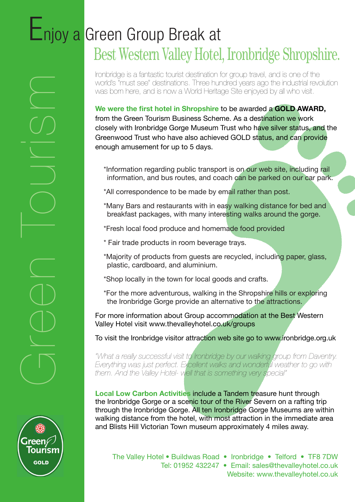# Enjoy a Green Group Break at Best Western Valley Hotel, Ironbridge Shropshire.

Ironbridge is a fantastic tourist destination for group travel, and is one of the world's "must see" destinations. Three hundred years ago the industrial revolution was born here, and is now a World Heritage Site enjoyed by all who visit.

**We were the first hotel in Shropshire** to be awarded a **GOLD AWARD,**  from the Green Tourism Business Scheme. As a destination we work closely with Ironbridge Gorge Museum Trust who have silver status, and the Greenwood Trust who have also achieved GOLD status, and can provide enough amusement for up to 5 days.

\*Information regarding public transport is on our web site, including rail information, and bus routes, and coach can be parked on our car park.

- \*All correspondence to be made by email rather than post.
- \*Many Bars and restaurants with in easy walking distance for bed and breakfast packages, with many interesting walks around the gorge.
- \*Fresh local food produce and homemade food provided
- \* Fair trade products in room beverage trays.
- \*Majority of products from guests are recycled, including paper, glass, plastic, cardboard, and aluminium.
- \*Shop locally in the town for local goods and crafts.
- \*For the more adventurous, walking in the Shropshire hills or exploring the Ironbridge Gorge provide an alternative to the attractions.

For more information about Group accommodation at the Best Western Valley Hotel visit www.thevalleyhotel.co.uk/groups

To visit the Ironbridge visitor attraction web site go to www.ironbridge.org.uk

*"What a really successful visit to Ironbridge by our walking group from Daventry. Everything was just perfect. Excellent walks and wonderful weather to go with them. And the Valley Hotel- well that is something very special"*

**Local Low Carbon Activities** include a Tandem treasure hunt through the Ironbridge Gorge or a scenic tour of the River Severn on a rafting trip through the Ironbridge Gorge. All ten Ironbridge Gorge Museums are within walking distance from the hotel, with most attraction in the immediate area and Blists Hill Victorian Town museum approximately 4 miles away.



Creen Court<br>Court Court

The Valley Hotel • Buildwas Road • Ironbridge • Telford • TF8 7DW

Tel: 01952 432247 • Email: sales@thevalleyhotel.co.uk Website: www.thevalleyhotel.co.uk